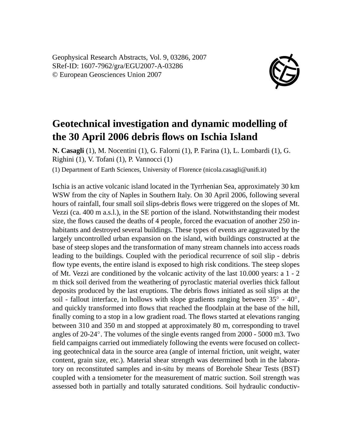Geophysical Research Abstracts, Vol. 9, 03286, 2007 SRef-ID: 1607-7962/gra/EGU2007-A-03286 © European Geosciences Union 2007



## **Geotechnical investigation and dynamic modelling of the 30 April 2006 debris flows on Ischia Island**

**N. Casagli** (1), M. Nocentini (1), G. Falorni (1), P. Farina (1), L. Lombardi (1), G. Righini (1), V. Tofani (1), P. Vannocci (1)

(1) Department of Earth Sciences, University of Florence (nicola.casagli@unifi.it)

Ischia is an active volcanic island located in the Tyrrhenian Sea, approximately 30 km WSW from the city of Naples in Southern Italy. On 30 April 2006, following several hours of rainfall, four small soil slips-debris flows were triggered on the slopes of Mt. Vezzi (ca. 400 m a.s.l.), in the SE portion of the island. Notwithstanding their modest size, the flows caused the deaths of 4 people, forced the evacuation of another 250 inhabitants and destroyed several buildings. These types of events are aggravated by the largely uncontrolled urban expansion on the island, with buildings constructed at the base of steep slopes and the transformation of many stream channels into access roads leading to the buildings. Coupled with the periodical recurrence of soil slip - debris flow type events, the entire island is exposed to high risk conditions. The steep slopes of Mt. Vezzi are conditioned by the volcanic activity of the last 10.000 years: a 1 - 2 m thick soil derived from the weathering of pyroclastic material overlies thick fallout deposits produced by the last eruptions. The debris flows initiated as soil slips at the soil - fallout interface, in hollows with slope gradients ranging between 35° - 40°, and quickly transformed into flows that reached the floodplain at the base of the hill, finally coming to a stop in a low gradient road. The flows started at elevations ranging between 310 and 350 m and stopped at approximately 80 m, corresponding to travel angles of 20-24◦ . The volumes of the single events ranged from 2000 - 5000 m3. Two field campaigns carried out immediately following the events were focused on collecting geotechnical data in the source area (angle of internal friction, unit weight, water content, grain size, etc.). Material shear strength was determined both in the laboratory on reconstituted samples and in-situ by means of Borehole Shear Tests (BST) coupled with a tensiometer for the measurement of matric suction. Soil strength was assessed both in partially and totally saturated conditions. Soil hydraulic conductiv-